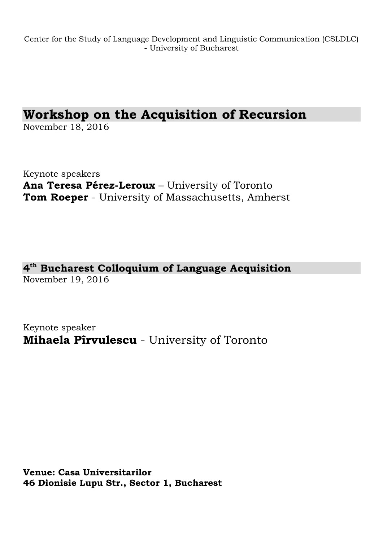Center for the Study of Language Development and Linguistic Communication (CSLDLC) - University of Bucharest

# **Workshop on the Acquisition of Recursion**

November 18, 2016

Keynote speakers **Ana Teresa Pérez-Leroux** – University of Toronto **Tom Roeper** - University of Massachusetts, Amherst

**4 th Bucharest Colloquium of Language Acquisition** November 19, 2016

Keynote speaker **Mihaela Pîrvulescu** - University of Toronto

**Venue: Casa Universitarilor 46 Dionisie Lupu Str., Sector 1, Bucharest**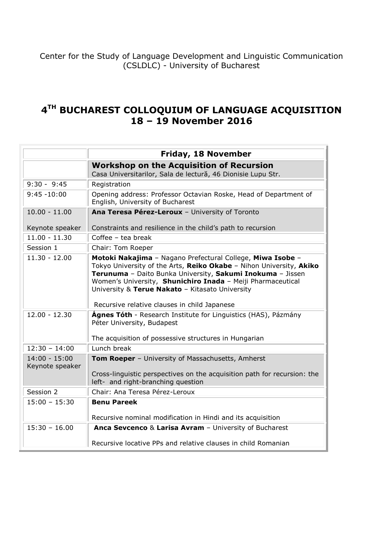Center for the Study of Language Development and Linguistic Communication (CSLDLC) - University of Bucharest

# **4 TH BUCHAREST COLLOQUIUM OF LANGUAGE ACQUISITION 18 – 19 November 2016**

|                                    | <b>Friday, 18 November</b>                                                                                                                                                                                                                                                                                                                                        |  |  |  |
|------------------------------------|-------------------------------------------------------------------------------------------------------------------------------------------------------------------------------------------------------------------------------------------------------------------------------------------------------------------------------------------------------------------|--|--|--|
|                                    | <b>Workshop on the Acquisition of Recursion</b><br>Casa Universitarilor, Sala de lectură, 46 Dionisie Lupu Str.                                                                                                                                                                                                                                                   |  |  |  |
| $9:30 - 9:45$                      | Registration                                                                                                                                                                                                                                                                                                                                                      |  |  |  |
| $9:45 - 10:00$                     | Opening address: Professor Octavian Roske, Head of Department of<br>English, University of Bucharest                                                                                                                                                                                                                                                              |  |  |  |
| $10.00 - 11.00$                    | Ana Teresa Pérez-Leroux - University of Toronto                                                                                                                                                                                                                                                                                                                   |  |  |  |
| Keynote speaker                    | Constraints and resilience in the child's path to recursion                                                                                                                                                                                                                                                                                                       |  |  |  |
| $11.00 - 11.30$                    | Coffee $-$ tea break                                                                                                                                                                                                                                                                                                                                              |  |  |  |
| Session 1                          | Chair: Tom Roeper                                                                                                                                                                                                                                                                                                                                                 |  |  |  |
| $11.30 - 12.00$                    | Motoki Nakajima - Nagano Prefectural College, Miwa Isobe -<br>Tokyo University of the Arts, Reiko Okabe - Nihon University, Akiko<br>Terunuma - Daito Bunka University, Sakumi Inokuma - Jissen<br>Women's University, Shunichiro Inada - Meiji Pharmaceutical<br>University & Terue Nakato - Kitasato University<br>Recursive relative clauses in child Japanese |  |  |  |
| $12.00 - 12.30$                    | <b>Ágnes Tóth</b> - Research Institute for Linguistics (HAS), Pázmány<br>Péter University, Budapest<br>The acquisition of possessive structures in Hungarian                                                                                                                                                                                                      |  |  |  |
| $12:30 - 14:00$                    | Lunch break                                                                                                                                                                                                                                                                                                                                                       |  |  |  |
| $14:00 - 15:00$<br>Keynote speaker | Tom Roeper - University of Massachusetts, Amherst<br>Cross-linguistic perspectives on the acquisition path for recursion: the<br>left- and right-branching question                                                                                                                                                                                               |  |  |  |
| Session 2                          | Chair: Ana Teresa Pérez-Leroux                                                                                                                                                                                                                                                                                                                                    |  |  |  |
| $15:00 - 15:30$                    | <b>Benu Pareek</b><br>Recursive nominal modification in Hindi and its acquisition                                                                                                                                                                                                                                                                                 |  |  |  |
| $15:30 - 16.00$                    | Anca Sevcenco & Larisa Avram - University of Bucharest<br>Recursive locative PPs and relative clauses in child Romanian                                                                                                                                                                                                                                           |  |  |  |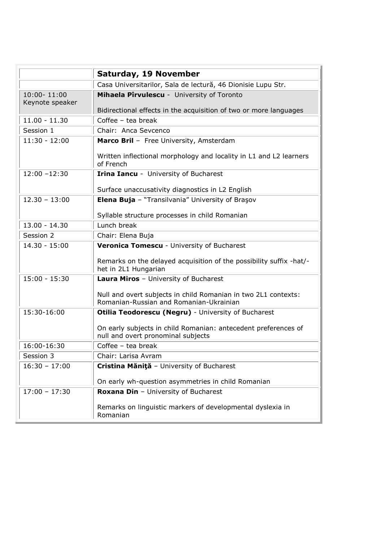|                                | Saturday, 19 November                                                                                     |  |  |  |  |  |
|--------------------------------|-----------------------------------------------------------------------------------------------------------|--|--|--|--|--|
|                                | Casa Universitarilor, Sala de lectură, 46 Dionisie Lupu Str.                                              |  |  |  |  |  |
| 10:00-11:00<br>Keynote speaker | Mihaela Pîrvulescu - University of Toronto                                                                |  |  |  |  |  |
|                                | Bidirectional effects in the acquisition of two or more languages                                         |  |  |  |  |  |
| $11.00 - 11.30$                | Coffee $-$ tea break                                                                                      |  |  |  |  |  |
| Session 1                      | Chair: Anca Sevcenco                                                                                      |  |  |  |  |  |
| $11:30 - 12:00$                | Marco Bril - Free University, Amsterdam                                                                   |  |  |  |  |  |
|                                | Written inflectional morphology and locality in L1 and L2 learners<br>of French                           |  |  |  |  |  |
| $12:00 - 12:30$                | <b>Irina Iancu</b> - University of Bucharest                                                              |  |  |  |  |  |
|                                | Surface unaccusativity diagnostics in L2 English                                                          |  |  |  |  |  |
| $12.30 - 13:00$                | Elena Buja - "Transilvania" University of Braşov                                                          |  |  |  |  |  |
|                                | Syllable structure processes in child Romanian                                                            |  |  |  |  |  |
| $13.00 - 14.30$                | Lunch break                                                                                               |  |  |  |  |  |
| Session 2                      | Chair: Elena Buja                                                                                         |  |  |  |  |  |
| $14.30 - 15:00$                | Veronica Tomescu - University of Bucharest                                                                |  |  |  |  |  |
|                                | Remarks on the delayed acquisition of the possibility suffix -hat/-<br>het in 2L1 Hungarian               |  |  |  |  |  |
| $15:00 - 15:30$                | Laura Miros - University of Bucharest                                                                     |  |  |  |  |  |
|                                | Null and overt subjects in child Romanian in two 2L1 contexts:<br>Romanian-Russian and Romanian-Ukrainian |  |  |  |  |  |
| 15:30-16:00                    | Otilia Teodorescu (Negru) - University of Bucharest                                                       |  |  |  |  |  |
|                                | On early subjects in child Romanian: antecedent preferences of<br>null and overt pronominal subjects      |  |  |  |  |  |
| 16:00-16:30                    | Coffee - tea break                                                                                        |  |  |  |  |  |
| Session 3                      | Chair: Larisa Avram                                                                                       |  |  |  |  |  |
| $16:30 - 17:00$                | Cristina Măniță - University of Bucharest                                                                 |  |  |  |  |  |
|                                | On early wh-question asymmetries in child Romanian                                                        |  |  |  |  |  |
| $17:00 - 17:30$                | <b>Roxana Din</b> - University of Bucharest                                                               |  |  |  |  |  |
|                                | Remarks on linguistic markers of developmental dyslexia in<br>Romanian                                    |  |  |  |  |  |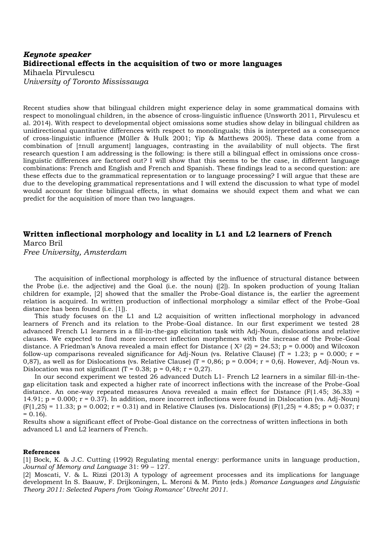# *Keynote speaker* **Bidirectional effects in the acquisition of two or more languages**  Mihaela Pîrvulescu *University of Toronto Mississauga*

Recent studies show that bilingual children might experience delay in some grammatical domains with respect to monolingual children, in the absence of cross-linguistic influence (Unsworth 2011, Pîrvulescu et al. 2014). With respect to developmental object omissions some studies show delay in bilingual children as unidirectional quantitative differences with respect to monolinguals; this is interpreted as a consequence of cross-linguistic influence (Müller & Hulk 2001; Yip & Matthews 2005). These data come from a combination of [±null argument] languages, contrasting in the availability of null objects. The first research question I am addressing is the following: is there still a bilingual effect in omissions once crosslinguistic differences are factored out? I will show that this seems to be the case, in different language combinations: French and English and French and Spanish. These findings lead to a second question: are these effects due to the grammatical representation or to language processing? I will argue that these are due to the developing grammatical representations and I will extend the discussion to what type of model would account for these bilingual effects, in what domains we should expect them and what we can predict for the acquisition of more than two languages.

# **Written inflectional morphology and locality in L1 and L2 learners of French** Marco Bril

*Free University, Amsterdam* 

The acquisition of inflectional morphology is affected by the influence of structural distance between the Probe (i.e. the adjective) and the Goal (i.e. the noun) ([2]). In spoken production of young Italian children for example, [2] showed that the smaller the Probe-Goal distance is, the earlier the agreement relation is acquired. In written production of inflectional morphology a similar effect of the Probe-Goal distance has been found (i.e. [1]).

This study focuses on the L1 and L2 acquisition of written inflectional morphology in advanced learners of French and its relation to the Probe-Goal distance. In our first experiment we tested 28 advanced French L1 learners in a fill-in-the-gap elicitation task with Adj-Noun, dislocations and relative clauses. We expected to find more incorrect inflection morphemes with the increase of the Probe-Goal distance. A Friedman's Anova revealed a main effect for Distance ( $X^2$  (2) = 24.53; p = 0.000) and Wilcoxon follow-up comparisons revealed significance for Adj-Noun (vs. Relative Clause) (T = 1.23; p = 0.000; r = 0,87), as well as for Dislocations (vs. Relative Clause) (T = 0,86; p = 0.004; r = 0,6). However, Adj-Noun vs. Dislocation was not significant (T = 0.38; p = 0,48; r = 0,27).

In our second experiment we tested 26 advanced Dutch L1- French L2 learners in a similar fill-in-thegap elicitation task and expected a higher rate of incorrect inflections with the increase of the Probe-Goal distance. An one-way repeated measures Anova revealed a main effect for Distance ( $F(1.45; 36.33)$ ) = 14.91; p = 0.000; r = 0.37). In addition, more incorrect inflections were found in Dislocation (vs. Adj-Noun)  $(F(1,25) = 11.33; p = 0.002; r = 0.31)$  and in Relative Clauses (vs. Dislocations)  $(F(1,25) = 4.85; p = 0.037; r = 0.037; p = 0.037; r = 0.037; r = 0.037; r = 0.037; r = 0.037; r = 0.037; r = 0.037; r = 0.037; r = 0.037; r = 0.037; r = 0.037; r = 0.037; r =$  $= 0.16$ .

Results show a significant effect of Probe-Goal distance on the correctness of written inflections in both advanced L1 and L2 learners of French.

#### **References**

[1] Bock, K. & J.C. Cutting (1992) Regulating mental energy: performance units in language production, *Journal of Memory and Language* 31: 99 – 127.

[2] Moscati, V. & L. Rizzi (2013) A typology of agreement processes and its implications for language development In S. Baauw, F. Drijkoningen, L. Meroni & M. Pinto (eds.) *Romance Languages and Linguistic Theory 2011: Selected Papers from 'Going Romance' Utrecht 2011.*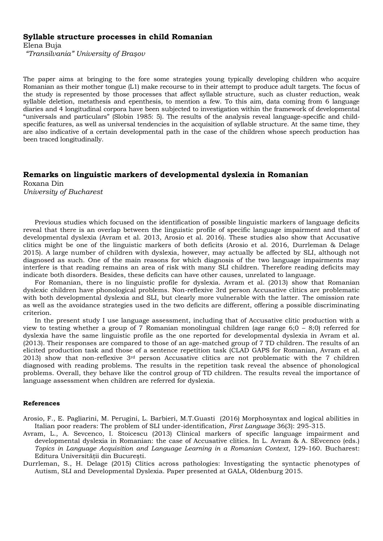# **Syllable structure processes in child Romanian**

Elena Buja

*"Transilvania" University of Braşov* 

The paper aims at bringing to the fore some strategies young typically developing children who acquire Romanian as their mother tongue (L1) make recourse to in their attempt to produce adult targets. The focus of the study is represented by those processes that affect syllable structure, such as cluster reduction, weak syllable deletion, metathesis and epenthesis, to mention a few. To this aim, data coming from 6 language diaries and 4 longitudinal corpora have been subjected to investigation within the framework of developmental "universals and particulars" (Slobin 1985: 5). The results of the analysis reveal language-specific and childspecific features, as well as universal tendencies in the acquisition of syllable structure. At the same time, they are also indicative of a certain developmental path in the case of the children whose speech production has been traced longitudinally.

# **Remarks on linguistic markers of developmental dyslexia in Romanian**

Roxana Din

*University of Bucharest*

Previous studies which focused on the identification of possible linguistic markers of language deficits reveal that there is an overlap between the linguistic profile of specific language impairment and that of developmental dyslexia (Avram et al. 2013, Arosio et al. 2016). These studies also show that Accusative clitics might be one of the linguistic markers of both deficits (Arosio et al. 2016, Durrleman & Delage 2015). A large number of children with dyslexia, however, may actually be affected by SLI, although not diagnosed as such. One of the main reasons for which diagnosis of the two language impairments may interfere is that reading remains an area of risk with many SLI children. Therefore reading deficits may indicate both disorders. Besides, these deficits can have other causes, unrelated to language.

For Romanian, there is no linguistic profile for dyslexia. Avram et al. (2013) show that Romanian dyslexic children have phonological problems. Non-reflexive 3rd person Accusative clitics are problematic with both developmental dyslexia and SLI, but clearly more vulnerable with the latter. The omission rate as well as the avoidance strategies used in the two deficits are different, offering a possible discriminating criterion.

In the present study I use language assessment, including that of Accusative clitic production with a view to testing whether a group of 7 Romanian monolingual children (age range 6;0 – 8;0) referred for dyslexia have the same linguistic profile as the one reported for developmental dyslexia in Avram et al. (2013). Their responses are compared to those of an age-matched group of 7 TD children. The results of an elicited production task and those of a sentence repetition task (CLAD GAPS for Romanian, Avram et al. 2013) show that non-reflexive 3rd person Accusative clitics are not problematic with the 7 children diagnosed with reading problems. The results in the repetition task reveal the absence of phonological problems. Overall, they behave like the control group of TD children. The results reveal the importance of language assessment when children are referred for dyslexia.

#### **References**

- Arosio, F., E. Pagliarini, M. Perugini, L. Barbieri, M.T.Guasti (2016) Morphosyntax and logical abilities in Italian poor readers: The problem of SLI under-identification, *First Language* 36(3): 295-315.
- Avram, L., A. Sevcenco, I. Stoicescu (2013) Clinical markers of specific language impairment and developmental dyslexia in Romanian: the case of Accusative clitics. In L. Avram & A. SEvcenco (eds.) *Topics in Language Acquisition and Language Learning in a Romanian Context*, 129-160. Bucharest: Editura Universității din București.
- Durrleman, S., H. Delage (2015) Clitics across pathologies: Investigating the syntactic phenotypes of Autism, SLI and Developmental Dyslexia. Paper presented at GALA, Oldenburg 2015.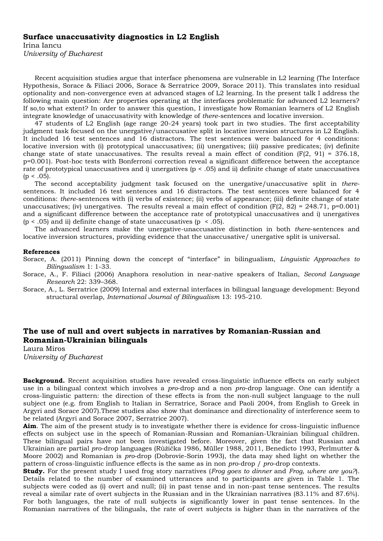#### **Surface unaccusativity diagnostics in L2 English**

Irina Iancu *University of Bucharest*

Recent acquisition studies argue that interface phenomena are vulnerable in L2 learning (The Interface Hypothesis, Sorace & Filiaci 2006, Sorace & Serratrice 2009, Sorace 2011). This translates into residual optionality and non-convergence even at advanced stages of L2 learning. In the present talk I address the following main question: Are properties operating at the interfaces problematic for advanced L2 learners? If so,to what extent? In order to answer this question, I investigate how Romanian learners of L2 English integrate knowledge of unaccusativity with knowledge of *there*-sentences and locative inversion.

47 students of L2 English (age range 20-24 years) took part in two studies. The first acceptability judgment task focused on the unergative/unaccusative split in locative inversion structures in L2 English. It included 16 test sentences and 16 distractors. The test sentences were balanced for 4 conditions: locative inversion with (i) prototypical unaccusatives; (ii) unergatives; (iii) passive predicates; (iv) definite change state of state unaccusatives. The results reveal a main effect of condition  $(F(2, 91) = 376.18)$ , p=0.001). Post-hoc tests with Bonferroni correction reveal a significant difference between the acceptance rate of prototypical unaccusatives and i) unergatives (p < .05) and ii) definite change of state unaccusatives  $(p < .05)$ .

The second acceptability judgment task focused on the unergative/unaccusative split in *there*sentences. It included 16 test sentences and 16 distractors. The test sentences were balanced for 4 conditions: *there*-sentences with (i) verbs of existence; (ii) verbs of appearance; (iii) definite change of state unaccusatives; (iv) unergatives. The results reveal a main effect of condition  $(F(2, 82) = 248.71, p=0.001)$ and a significant difference between the acceptance rate of prototypical unaccusatives and i) unergatives  $(p < .05)$  and ii) definite change of state unaccusatives  $(p < .05)$ .

The advanced learners make the unergative-unaccusative distinction in both *there*-sentences and locative inversion structures, providing evidence that the unaccusative/ unergative split is universal.

#### **References**

Sorace, A. (2011) Pinning down the concept of "interface" in bilingualism, *Linguistic Approaches to Bilingualism* 1: 1-33.

Sorace, A., F. Filiaci (2006) Anaphora resolution in near-native speakers of Italian, *Second Language Research* 22: 339–368.

Sorace, A., L. Serratrice (2009) Internal and external interfaces in bilingual language development: Beyond structural overlap, *International Journal of Bilingualism* 13: 195-210.

#### **The use of null and overt subjects in narratives by Romanian-Russian and Romanian-Ukrainian bilinguals**

Laura Miros *University of Bucharest* 

**Background.** Recent acquisition studies have revealed cross-linguistic influence effects on early subject use in a bilingual context which involves a *pro*-drop and a non *pro*-drop language. One can identify a cross-linguistic pattern: the direction of these effects is from the non-null subject language to the null subject one (e.g. from English to Italian in Serratrice, Sorace and Paoli 2004, from English to Greek in Argyri and Sorace 2007).These studies also show that dominance and directionality of interference seem to be related (Argyri and Sorace 2007, Serratrice 2007).

**Aim**. The aim of the present study is to investigate whether there is evidence for cross-linguistic influence effects on subject use in the speech of Romanian-Russian and Romanian-Ukrainian bilingual children. These bilingual pairs have not been investigated before. Moreover, given the fact that Russian and Ukrainian are partial *pro*-drop languages (Růžička 1986, Müller 1988, 2011, Benedicto 1993, Perlmutter & Moore 2002) and Romanian is *pro*-drop (Dobrovie-Sorin 1993), the data may shed light on whether the pattern of cross-linguistic influence effects is the same as in non *pro*-drop / *pro*-drop contexts.

**Study.** For the present study I used frog story narratives (*Frog goes to dinner* and *Frog, where are you?*). Details related to the number of examined utterances and to participants are given in Table 1. The subjects were coded as (i) overt and null; (ii) in past tense and in non-past tense sentences. The results reveal a similar rate of overt subjects in the Russian and in the Ukrainian narratives (83.11% and 87.6%). For both languages, the rate of null subjects is significantly lower in past tense sentences. In the Romanian narratives of the bilinguals, the rate of overt subjects is higher than in the narratives of the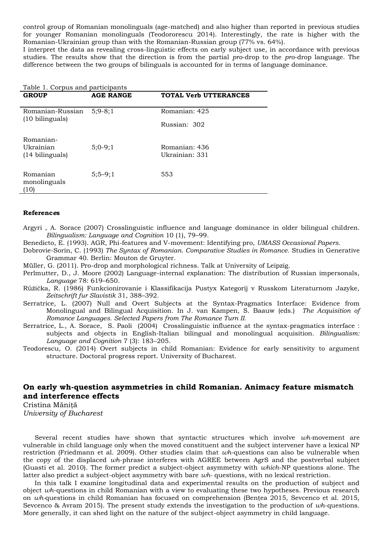control group of Romanian monolinguals (age-matched) and also higher than reported in previous studies for younger Romanian monolinguals (Teodororescu 2014). Interestingly, the rate is higher with the Romanian-Ukrainian group than with the Romanian-Russian group (77% vs. 64%).

I interpret the data as revealing cross-linguistic effects on early subject use, in accordance with previous studies. The results show that the direction is from the partial *pro*-drop to the *pro*-drop language. The difference between the two groups of bilinguals is accounted for in terms of language dominance.

|  | Table 1. Corpus and participants |  |  |
|--|----------------------------------|--|--|
|  |                                  |  |  |

| <b>GROUP</b>                                  | <b>AGE RANGE</b> | <b>TOTAL Verb UTTERANCES</b> |
|-----------------------------------------------|------------------|------------------------------|
| Romanian-Russian<br>$(10 \text{ bilinguals})$ | $5;9-8;1$        | Romanian: 425                |
|                                               |                  | Russian: 302                 |
| Romanian-<br>Ukrainian                        |                  | Romanian: 436                |
| (14 bilinguals)                               | $5:0-9:1$        | Ukrainian: 331               |
| Romanian<br>monolinguals<br>(10               | $5:5-9:1$        | 553                          |

#### **Referenc***e***s**

Argyri , A. Sorace (2007) Crosslinguistic influence and language dominance in older bilingual children. *Bilingualism: Language and Cognition* 10 (1), 79–99.

Benedicto, E. (1993). AGR, Phi-features and V-movement: Identifying pro, *UMASS Occasional Papers.*

- Dobrovie-Sorin, C. (1993) *The Syntax of Romanian. Comparative Studies in Romance.* Studies in Generative Grammar 40. Berlin: Mouton de Gruyter.
- Müller, G. (2011). Pro-drop and morphological richness. Talk at University of Leipzig.
- Perlmutter, D., J. Moore (2002) Language-internal explanation: The distribution of Russian impersonals, *Language* 78: 619–650.
- Růžička, R. (1986) Funkcionirovanie i Klassifikacija Pustyx Kategorij v Russkom Literaturnom Jazyke, *Zeitschrift fur Slavistik* 31, 388–392.
- Serratrice, L. (2007) Null and Overt Subjects at the Syntax-Pragmatics Interface: Evidence from Monolingual and Bilingual Acquisition. In J. van Kampen, S. Baauw (eds.) *The Acquisition of Romance Languages. Selected Papers from The Romance Turn II.*
- Serratrice, L., A. Sorace, S. Paoli (2004) Crosslinguistic influence at the syntax-pragmatics interface : subjects and objects in English-Italian bilingual and monolingual acquisition. *Bilingualism: Language and Cognition* 7 (3): 183–205.
- Teodorescu, O. (2014) Overt subjects in child Romanian: Evidence for early sensitivity to argument structure. Doctoral progress report. University of Bucharest.

# **On early wh-question asymmetries in child Romanian. Animacy feature mismatch and interference effects**

Cristina Mănită *University of Bucharest* 

Several recent studies have shown that syntactic structures which involve *wh-*movement are vulnerable in child language only when the moved constituent and the subject intervener have a lexical NP restriction (Friedmann et al. 2009). Other studies claim that *wh*-questions can also be vulnerable when the copy of the displaced *wh*-phrase interferes with AGREE between AgrS and the postverbal subject (Guasti et al. 2010). The former predict a subject-object asymmetry with *which*-NP questions alone. The latter also predict a subject-object asymmetry with bare *wh-* questions, with no lexical restriction.

In this talk I examine longitudinal data and experimental results on the production of subject and object *wh*-questions in child Romanian with a view to evaluating these two hypotheses. Previous research on *wh*-questions in child Romanian has focused on comprehension (Bentea 2015, Sevcenco et al. 2015, Sevcenco & Avram 2015). The present study extends the investigation to the production of *wh*-questions. More generally, it can shed light on the nature of the subject-object asymmetry in child language.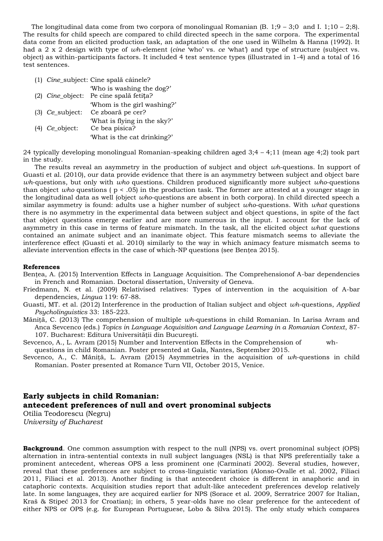The longitudinal data come from two corpora of monolingual Romanian  $(B, 1;9 - 3;0 \text{ and } I, 1;10 - 2;8)$ . The results for child speech are compared to child directed speech in the same corpora. The experimental data come from an elicited production task, an adaptation of the one used in Wilhelm & Hanna (1992). It had a 2 x 2 design with type of *wh*-element (*cine* 'who' vs. *ce* 'what') and type of structure (subject vs. object) as within-participants factors. It included 4 test sentence types (illustrated in 1-4) and a total of 16 test sentences.

- (1) *Cine*\_subject: Cine spală câinele?
- 'Who is washing the dog?' (2) *Cine*\_object: Pe cine spală fetița? 'Whom is the girl washing?'
- (3) *Ce*\_subject: Ce zboară pe cer? 'What is flying in the sky?' (4) *Ce*\_object: Ce bea pisica? 'What is the cat drinking?'

24 typically developing monolingual Romanian-speaking children aged 3;4 – 4;11 (mean age 4;2) took part in the study.

The results reveal an asymmetry in the production of subject and object *wh*-questions. In support of Guasti et al. (2010), our data provide evidence that there is an asymmetry between subject and object bare *wh*-questions, but only with *who* questions. Children produced significantly more subject *who*-questions than object *who* questions ( p < .05) in the production task. The former are attested at a younger stage in the longitudinal data as well (object *who*-questions are absent in both corpora). In child directed speech a similar asymmetry is found: adults use a higher number of subject *who*-questions. With *what* questions there is no asymmetry in the experimental data between subject and object questions, in spite of the fact that object questions emerge earlier and are more numerous in the input. I account for the lack of asymmetry in this case in terms of feature mismatch. In the task, all the elicited object *what* questions contained an animate subject and an inanimate object. This feature mismatch seems to alleviate the interference effect (Guasti et al. 2010) similarly to the way in which animacy feature mismatch seems to alleviate intervention effects in the case of which-NP questions (see Bentea 2015).

#### **References**

Bențea, A. (2015) Intervention Effects in Language Acquisition. The Comprehensionof A-bar dependencies in French and Romanian. Doctoral dissertation, University of Geneva.

Friedmann, N. et al. (2009) Relativised relatives: Types of intervention in the acquisition of A-bar dependencies, *Lingua* 119: 67-88.

Guasti, MT. et al. (2012) Interference in the production of Italian subject and object *wh*-questions, *Applied Psycholinguistics* 33: 185-223.

Măniţă, C. (2013) The comprehension of multiple *wh*-questions in child Romanian. In Larisa Avram and Anca Sevcenco (eds.) *Topics in Language Acquisition and Language Learning in a Romanian Context*, 87- 107. Bucharest: Editura Universităţii din Bucureşti.

Sevcenco, A., L. Avram (2015) Number and Intervention Effects in the Comprehension of whquestions in child Romanian. Poster presented at Gala, Nantes, September 2015.

Sevcenco, A., C. Măniţă, L. Avram (2015) Asymmetries in the acquisition of *wh*-questions in child Romanian. Poster presented at Romance Turn VII, October 2015, Venice.

# **Early subjects in child Romanian: antecedent preferences of null and overt pronominal subjects**

Otilia Teodorescu (Negru) *University of Bucharest* 

**Background**. One common assumption with respect to the null (NPS) vs. overt pronominal subject (OPS) alternation in intra-sentential contexts in null subject languages (NSL) is that NPS preferentially take a prominent antecedent, whereas OPS a less prominent one (Carminati 2002). Several studies, however, reveal that these preferences are subject to cross-linguistic variation (Alonso-Ovalle et al. 2002, Filiaci 2011, Filiaci et al. 2013). Another finding is that antecedent choice is different in anaphoric and in cataphoric contexts. Acquisition studies report that adult-like antecedent preferences develop relatively late. In some languages, they are acquired earlier for NPS (Sorace et al. 2009, Serratrice 2007 for Italian, Kraš & Stipeć 2013 for Croatian); in others, 5 year-olds have no clear preference for the antecedent of either NPS or OPS (e.g. for European Portuguese, Lobo & Silva 2015). The only study which compares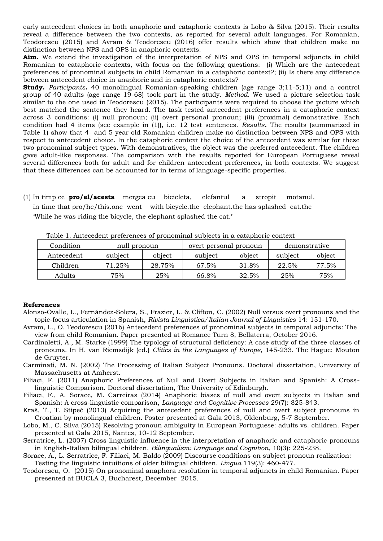early antecedent choices in both anaphoric and cataphoric contexts is Lobo & Silva (2015). Their results reveal a difference between the two contexts, as reported for several adult languages. For Romanian, Teodorescu (2015) and Avram & Teodorescu (2016) offer results which show that children make no distinction between NPS and OPS in anaphoric contexts.

**Aim.** We extend the investigation of the interpretation of NPS and OPS in temporal adjuncts in child Romanian to cataphoric contexts, with focus on the following questions: (i) Which are the antecedent preferences of pronominal subjects in child Romanian in a cataphoric context?; (ii) Is there any difference between antecedent choice in anaphoric and in cataphoric contexts?

**Study.** *Participants***.** 40 monolingual Romanian-speaking children (age range 3;11-5;11) and a control group of 40 adults (age range 19-68) took part in the study. *Method.* We used a picture selection task similar to the one used in Teodorescu (2015). The participants were required to choose the picture which best matched the sentence they heard. The task tested antecedent preferences in a cataphoric context across 3 conditions: (i) null pronoun; (ii) overt personal pronoun; (iii) (proximal) demonstrative. Each condition had 4 items (see example in (1)), i.e. 12 test sentences. *Results***.** The results (summarized in Table 1) show that 4- and 5-year old Romanian children make no distinction between NPS and OPS with respect to antecedent choice. In the cataphoric context the choice of the antecedent was similar for these two pronominal subject types. With demonstratives, the object was the preferred antecedent. The children gave adult-like responses. The comparison with the results reported for European Portuguese reveal several differences both for adult and for children antecedent preferences, in both contexts. We suggest that these differences can be accounted for in terms of language-specific properties.

(1) În timp ce **pro/el/acesta** mergea cu bicicleta, elefantul a stropit motanul. in time that pro/he/this.one went with bicycle.the elephant.the has splashed cat.the 'While he was riding the bicycle, the elephant splashed the cat.'

| Condition  | null pronoun |        | overt personal pronoun |        | demonstrative |        |
|------------|--------------|--------|------------------------|--------|---------------|--------|
| Antecedent | subject      | object | subject                | object | subject       | object |
| Children   | 71.25%       | 28.75% | 67.5%                  | 31.8%  | 22.5%         | 77.5%  |
| Adults     | $75\%$       | 25%    | 66.8%                  | 32.5%  | 25%           | 75%    |

Table 1. Antecedent preferences of pronominal subjects in a cataphoric context

#### **References**

- Alonso-Ovalle, L., Fernández-Solera, S., Frazier, L. & Clifton, C. (2002) Null versus overt pronouns and the topic-focus articulation in Spanish, *Rivista Linguistica/Italian Journal of Linguistics* 14: 151-170.
- Avram, L., O. Teodorescu (2016) Antecedent preferences of pronominal subjects in temporal adjuncts: The view from child Romanian. Paper presented at Romance Turn 8, Bellaterra, October 2016.
- Cardinaletti, A., M. Starke (1999) The typology of structural deficiency: A case study of the three classes of pronouns. In H. van Riemsdijk (ed.) *Clitics in the Languages of Europe*, 145-233. The Hague: Mouton de Gruyter.
- Carminati, M. N. (2002) The Processing of Italian Subject Pronouns. Doctoral dissertation, University of Massachusetts at Amherst.
- Filiaci, F. (2011) Anaphoric Preferences of Null and Overt Subjects in Italian and Spanish: A Crosslinguistic Comparison. Doctoral dissertation, The University of Edinburgh.
- Filiaci, F., A. Sorace, M. Carreiras (2014) Anaphoric biases of null and overt subjects in Italian and Spanish: A cross-linguistic comparison, *Language and Cognitive Processes* 29(7): 825-843.
- Kraš, T., T. Stipeć (2013) Acquiring the antecedent preferences of null and overt subject pronouns in Croatian by monolingual children. Poster presented at Gala 2013, Oldenburg, 5-7 September.
- Lobo, M., C. Silva (2015) Resolving pronoun ambiguity in European Portuguese: adults vs. children. Paper presented at Gala 2015, Nantes, 10-12 September.
- Serratrice, L. (2007) Cross-linguistic influence in the interpretation of anaphoric and cataphoric pronouns in English-Italian bilingual children. *Bilingualism: Language and Cognition*, 10(3): 225-238.
- Sorace, A., L. Serratrice, F. Filiaci, M. Baldo (2009) Discourse conditions on subject pronoun realization: Testing the linguistic intuitions of older bilingual children. *Lingua* 119(3): 460-477.
- Teodorescu, O. (2015) On pronominal anaphora resolution in temporal adjuncts in child Romanian. Paper presented at BUCLA 3, Bucharest, December 2015.